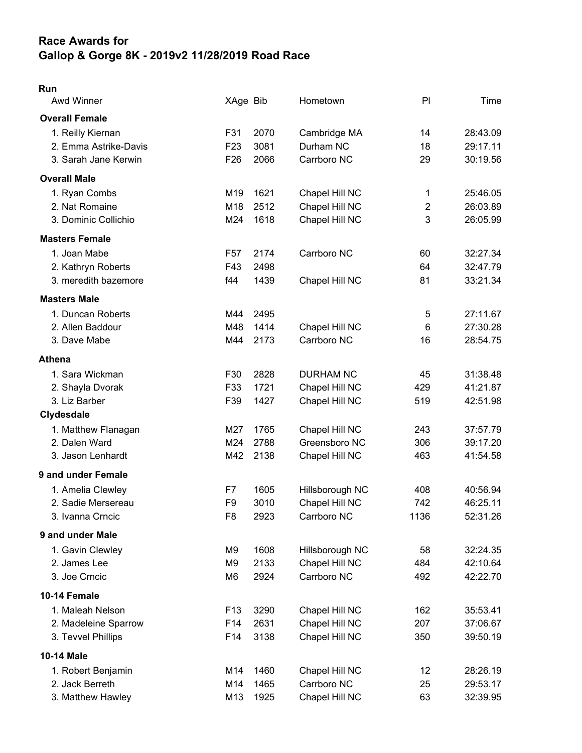## Race Awards for Gallop & Gorge 8K - 2019v2 11/28/2019 Road Race

## Run

| <b>Awd Winner</b>     | XAge Bib        |      | Hometown         | PI             | Time     |
|-----------------------|-----------------|------|------------------|----------------|----------|
| <b>Overall Female</b> |                 |      |                  |                |          |
| 1. Reilly Kiernan     | F31             | 2070 | Cambridge MA     | 14             | 28:43.09 |
| 2. Emma Astrike-Davis | F <sub>23</sub> | 3081 | Durham NC        | 18             | 29:17.11 |
| 3. Sarah Jane Kerwin  | F <sub>26</sub> | 2066 | Carrboro NC      | 29             | 30:19.56 |
| <b>Overall Male</b>   |                 |      |                  |                |          |
| 1. Ryan Combs         | M19             | 1621 | Chapel Hill NC   | 1              | 25:46.05 |
| 2. Nat Romaine        | M18             | 2512 | Chapel Hill NC   | $\overline{2}$ | 26:03.89 |
| 3. Dominic Collichio  | M24             | 1618 | Chapel Hill NC   | 3              | 26:05.99 |
| <b>Masters Female</b> |                 |      |                  |                |          |
| 1. Joan Mabe          | F57             | 2174 | Carrboro NC      | 60             | 32:27.34 |
| 2. Kathryn Roberts    | F43             | 2498 |                  | 64             | 32:47.79 |
| 3. meredith bazemore  | f44             | 1439 | Chapel Hill NC   | 81             | 33:21.34 |
| <b>Masters Male</b>   |                 |      |                  |                |          |
| 1. Duncan Roberts     | M44             | 2495 |                  | 5              | 27:11.67 |
| 2. Allen Baddour      | M48             | 1414 | Chapel Hill NC   | $\,6$          | 27:30.28 |
| 3. Dave Mabe          | M44             | 2173 | Carrboro NC      | 16             | 28:54.75 |
| <b>Athena</b>         |                 |      |                  |                |          |
| 1. Sara Wickman       | F30             | 2828 | <b>DURHAM NC</b> | 45             | 31:38.48 |
| 2. Shayla Dvorak      | F33             | 1721 | Chapel Hill NC   | 429            | 41:21.87 |
| 3. Liz Barber         | F39             | 1427 | Chapel Hill NC   | 519            | 42:51.98 |
| Clydesdale            |                 |      |                  |                |          |
| 1. Matthew Flanagan   | M27             | 1765 | Chapel Hill NC   | 243            | 37:57.79 |
| 2. Dalen Ward         | M24             | 2788 | Greensboro NC    | 306            | 39:17.20 |
| 3. Jason Lenhardt     | M42             | 2138 | Chapel Hill NC   | 463            | 41:54.58 |
| 9 and under Female    |                 |      |                  |                |          |
| 1. Amelia Clewley     | F7              | 1605 | Hillsborough NC  | 408            | 40:56.94 |
| 2. Sadie Mersereau    | F <sub>9</sub>  | 3010 | Chapel Hill NC   | 742            | 46:25.11 |
| 3. Ivanna Crncic      | F8              | 2923 | Carrboro NC      | 1136           | 52:31.26 |
| 9 and under Male      |                 |      |                  |                |          |
| 1. Gavin Clewley      | M9              | 1608 | Hillsborough NC  | 58             | 32:24.35 |
| 2. James Lee          | M9              | 2133 | Chapel Hill NC   | 484            | 42:10.64 |
| 3. Joe Crncic         | M6              | 2924 | Carrboro NC      | 492            | 42:22.70 |
| 10-14 Female          |                 |      |                  |                |          |
| 1. Maleah Nelson      | F <sub>13</sub> | 3290 | Chapel Hill NC   | 162            | 35:53.41 |
| 2. Madeleine Sparrow  | F14             | 2631 | Chapel Hill NC   | 207            | 37:06.67 |
| 3. Tevvel Phillips    | F14             | 3138 | Chapel Hill NC   | 350            | 39:50.19 |
| 10-14 Male            |                 |      |                  |                |          |
| 1. Robert Benjamin    | M14             | 1460 | Chapel Hill NC   | 12             | 28:26.19 |
| 2. Jack Berreth       | M14             | 1465 | Carrboro NC      | 25             | 29:53.17 |
| 3. Matthew Hawley     | M13             | 1925 | Chapel Hill NC   | 63             | 32:39.95 |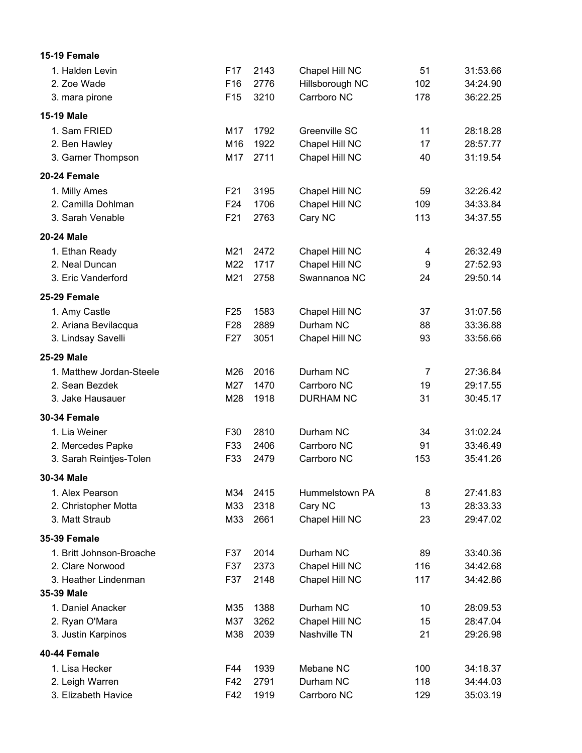| 15-19 Female             |                 |      |                  |                |          |
|--------------------------|-----------------|------|------------------|----------------|----------|
| 1. Halden Levin          | F <sub>17</sub> | 2143 | Chapel Hill NC   | 51             | 31:53.66 |
| 2. Zoe Wade              | F16             | 2776 | Hillsborough NC  | 102            | 34:24.90 |
| 3. mara pirone           | F <sub>15</sub> | 3210 | Carrboro NC      | 178            | 36:22.25 |
| 15-19 Male               |                 |      |                  |                |          |
| 1. Sam FRIED             | M17             | 1792 | Greenville SC    | 11             | 28:18.28 |
| 2. Ben Hawley            | M16             | 1922 | Chapel Hill NC   | 17             | 28:57.77 |
| 3. Garner Thompson       | M17             | 2711 | Chapel Hill NC   | 40             | 31:19.54 |
| 20-24 Female             |                 |      |                  |                |          |
| 1. Milly Ames            | F <sub>21</sub> | 3195 | Chapel Hill NC   | 59             | 32:26.42 |
| 2. Camilla Dohlman       | F <sub>24</sub> | 1706 | Chapel Hill NC   | 109            | 34:33.84 |
| 3. Sarah Venable         | F21             | 2763 | Cary NC          | 113            | 34:37.55 |
| 20-24 Male               |                 |      |                  |                |          |
| 1. Ethan Ready           | M21             | 2472 | Chapel Hill NC   | 4              | 26:32.49 |
| 2. Neal Duncan           | M22             | 1717 | Chapel Hill NC   | 9              | 27:52.93 |
| 3. Eric Vanderford       | M21             | 2758 | Swannanoa NC     | 24             | 29:50.14 |
| 25-29 Female             |                 |      |                  |                |          |
| 1. Amy Castle            | F <sub>25</sub> | 1583 | Chapel Hill NC   | 37             | 31:07.56 |
| 2. Ariana Bevilacqua     | F <sub>28</sub> | 2889 | Durham NC        | 88             | 33:36.88 |
| 3. Lindsay Savelli       | F <sub>27</sub> | 3051 | Chapel Hill NC   | 93             | 33:56.66 |
| 25-29 Male               |                 |      |                  |                |          |
| 1. Matthew Jordan-Steele | M26             | 2016 | Durham NC        | $\overline{7}$ | 27:36.84 |
| 2. Sean Bezdek           | M27             | 1470 | Carrboro NC      | 19             | 29:17.55 |
| 3. Jake Hausauer         | M28             | 1918 | <b>DURHAM NC</b> | 31             | 30:45.17 |
| <b>30-34 Female</b>      |                 |      |                  |                |          |
| 1. Lia Weiner            | F30             | 2810 | Durham NC        | 34             | 31:02.24 |
| 2. Mercedes Papke        | F33             | 2406 | Carrboro NC      | 91             | 33:46.49 |
| 3. Sarah Reintjes-Tolen  | F33             | 2479 | Carrboro NC      | 153            | 35:41.26 |
| 30-34 Male               |                 |      |                  |                |          |
| 1. Alex Pearson          | M34             | 2415 | Hummelstown PA   | 8              | 27:41.83 |
| 2. Christopher Motta     | M33             | 2318 | Cary NC          | 13             | 28:33.33 |
| 3. Matt Straub           | M33             | 2661 | Chapel Hill NC   | 23             | 29:47.02 |
| <b>35-39 Female</b>      |                 |      |                  |                |          |
| 1. Britt Johnson-Broache | F37             | 2014 | Durham NC        | 89             | 33:40.36 |
| 2. Clare Norwood         | F37             | 2373 | Chapel Hill NC   | 116            | 34:42.68 |
| 3. Heather Lindenman     | F37             | 2148 | Chapel Hill NC   | 117            | 34:42.86 |
| 35-39 Male               |                 |      |                  |                |          |
| 1. Daniel Anacker        | M35             | 1388 | Durham NC        | 10             | 28:09.53 |
| 2. Ryan O'Mara           | M37             | 3262 | Chapel Hill NC   | 15             | 28:47.04 |
| 3. Justin Karpinos       | M38             | 2039 | Nashville TN     | 21             | 29:26.98 |
| 40-44 Female             |                 |      |                  |                |          |
| 1. Lisa Hecker           | F44             | 1939 | Mebane NC        | 100            | 34:18.37 |
| 2. Leigh Warren          | F42             | 2791 | Durham NC        | 118            | 34:44.03 |
| 3. Elizabeth Havice      | F42             | 1919 | Carrboro NC      | 129            | 35:03.19 |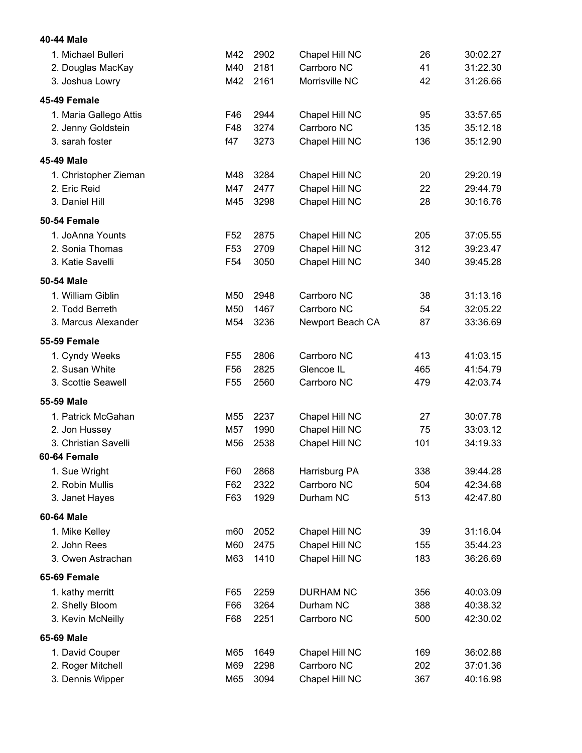| 40-44 Male             |                 |      |                  |     |          |
|------------------------|-----------------|------|------------------|-----|----------|
| 1. Michael Bulleri     | M42             | 2902 | Chapel Hill NC   | 26  | 30:02.27 |
| 2. Douglas MacKay      | M40             | 2181 | Carrboro NC      | 41  | 31:22.30 |
| 3. Joshua Lowry        | M42             | 2161 | Morrisville NC   | 42  | 31:26.66 |
| 45-49 Female           |                 |      |                  |     |          |
| 1. Maria Gallego Attis | F46             | 2944 | Chapel Hill NC   | 95  | 33:57.65 |
| 2. Jenny Goldstein     | F48             | 3274 | Carrboro NC      | 135 | 35:12.18 |
| 3. sarah foster        | f47             | 3273 | Chapel Hill NC   | 136 | 35:12.90 |
| 45-49 Male             |                 |      |                  |     |          |
| 1. Christopher Zieman  | M48             | 3284 | Chapel Hill NC   | 20  | 29:20.19 |
| 2. Eric Reid           | M47             | 2477 | Chapel Hill NC   | 22  | 29:44.79 |
| 3. Daniel Hill         | M45             | 3298 | Chapel Hill NC   | 28  | 30:16.76 |
| <b>50-54 Female</b>    |                 |      |                  |     |          |
| 1. JoAnna Younts       | F <sub>52</sub> | 2875 | Chapel Hill NC   | 205 | 37:05.55 |
| 2. Sonia Thomas        | F <sub>53</sub> | 2709 | Chapel Hill NC   | 312 | 39:23.47 |
| 3. Katie Savelli       | F <sub>54</sub> | 3050 | Chapel Hill NC   | 340 | 39:45.28 |
| 50-54 Male             |                 |      |                  |     |          |
| 1. William Giblin      | M50             | 2948 | Carrboro NC      | 38  | 31:13.16 |
| 2. Todd Berreth        | M50             | 1467 | Carrboro NC      | 54  | 32:05.22 |
| 3. Marcus Alexander    | M54             | 3236 | Newport Beach CA | 87  | 33:36.69 |
| <b>55-59 Female</b>    |                 |      |                  |     |          |
| 1. Cyndy Weeks         | F <sub>55</sub> | 2806 | Carrboro NC      | 413 | 41:03.15 |
| 2. Susan White         | F <sub>56</sub> | 2825 | Glencoe IL       | 465 | 41:54.79 |
| 3. Scottie Seawell     | F <sub>55</sub> | 2560 | Carrboro NC      | 479 | 42:03.74 |
| 55-59 Male             |                 |      |                  |     |          |
| 1. Patrick McGahan     | M55             | 2237 | Chapel Hill NC   | 27  | 30:07.78 |
| 2. Jon Hussey          | M57             | 1990 | Chapel Hill NC   | 75  | 33:03.12 |
| 3. Christian Savelli   | M56             | 2538 | Chapel Hill NC   | 101 | 34:19.33 |
| 60-64 Female           |                 |      |                  |     |          |
| 1. Sue Wright          | F60             | 2868 | Harrisburg PA    | 338 | 39:44.28 |
| 2. Robin Mullis        | F62             | 2322 | Carrboro NC      | 504 | 42:34.68 |
| 3. Janet Hayes         | F63             | 1929 | Durham NC        | 513 | 42:47.80 |
| 60-64 Male             |                 |      |                  |     |          |
| 1. Mike Kelley         | m60             | 2052 | Chapel Hill NC   | 39  | 31:16.04 |
| 2. John Rees           | M60             | 2475 | Chapel Hill NC   | 155 | 35:44.23 |
| 3. Owen Astrachan      | M63             | 1410 | Chapel Hill NC   | 183 | 36:26.69 |
| 65-69 Female           |                 |      |                  |     |          |
| 1. kathy merritt       | F65             | 2259 | <b>DURHAM NC</b> | 356 | 40:03.09 |
| 2. Shelly Bloom        | F66             | 3264 | Durham NC        | 388 | 40:38.32 |
| 3. Kevin McNeilly      | F68             | 2251 | Carrboro NC      | 500 | 42:30.02 |
| 65-69 Male             |                 |      |                  |     |          |
| 1. David Couper        | M65             | 1649 | Chapel Hill NC   | 169 | 36:02.88 |
| 2. Roger Mitchell      | M69             | 2298 | Carrboro NC      | 202 | 37:01.36 |
| 3. Dennis Wipper       | M65             | 3094 | Chapel Hill NC   | 367 | 40:16.98 |